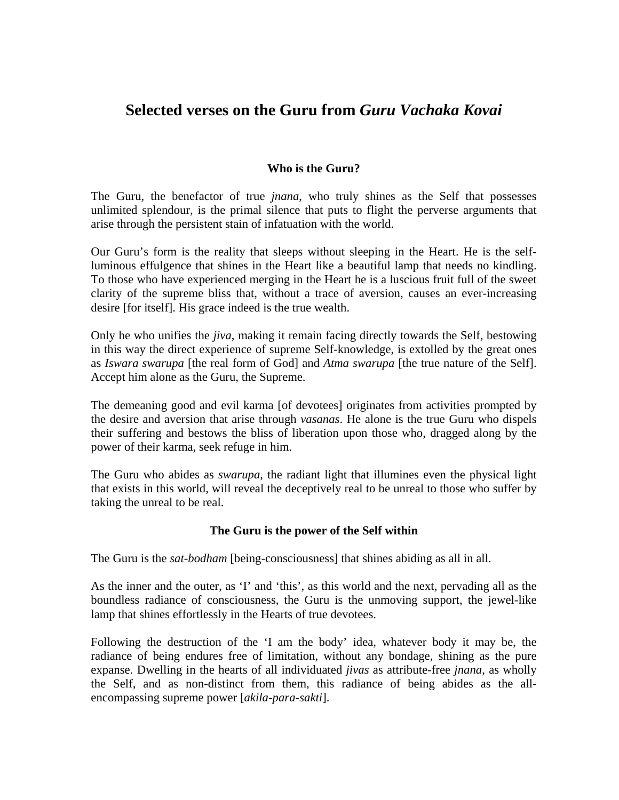# **Selected verses on the Guru from** *Guru Vachaka Kovai*

## **Who is the Guru?**

The Guru, the benefactor of true *jnana*, who truly shines as the Self that possesses unlimited splendour, is the primal silence that puts to flight the perverse arguments that arise through the persistent stain of infatuation with the world.

Our Guru's form is the reality that sleeps without sleeping in the Heart. He is the selfluminous effulgence that shines in the Heart like a beautiful lamp that needs no kindling. To those who have experienced merging in the Heart he is a luscious fruit full of the sweet clarity of the supreme bliss that, without a trace of aversion, causes an ever-increasing desire [for itself]. His grace indeed is the true wealth.

Only he who unifies the *jiva*, making it remain facing directly towards the Self, bestowing in this way the direct experience of supreme Self-knowledge, is extolled by the great ones as *Iswara swarupa* [the real form of God] and *Atma swarupa* [the true nature of the Self]. Accept him alone as the Guru, the Supreme.

The demeaning good and evil karma [of devotees] originates from activities prompted by the desire and aversion that arise through *vasanas*. He alone is the true Guru who dispels their suffering and bestows the bliss of liberation upon those who, dragged along by the power of their karma, seek refuge in him.

The Guru who abides as *swarupa*, the radiant light that illumines even the physical light that exists in this world, will reveal the deceptively real to be unreal to those who suffer by taking the unreal to be real.

### **The Guru is the power of the Self within**

The Guru is the *sat-bodham* [being-consciousness] that shines abiding as all in all.

As the inner and the outer, as 'I' and 'this', as this world and the next, pervading all as the boundless radiance of consciousness, the Guru is the unmoving support, the jewel-like lamp that shines effortlessly in the Hearts of true devotees.

Following the destruction of the 'I am the body' idea, whatever body it may be, the radiance of being endures free of limitation, without any bondage, shining as the pure expanse. Dwelling in the hearts of all individuated *jivas* as attribute-free *jnana*, as wholly the Self, and as non-distinct from them, this radiance of being abides as the allencompassing supreme power [*akila-para-sakti*].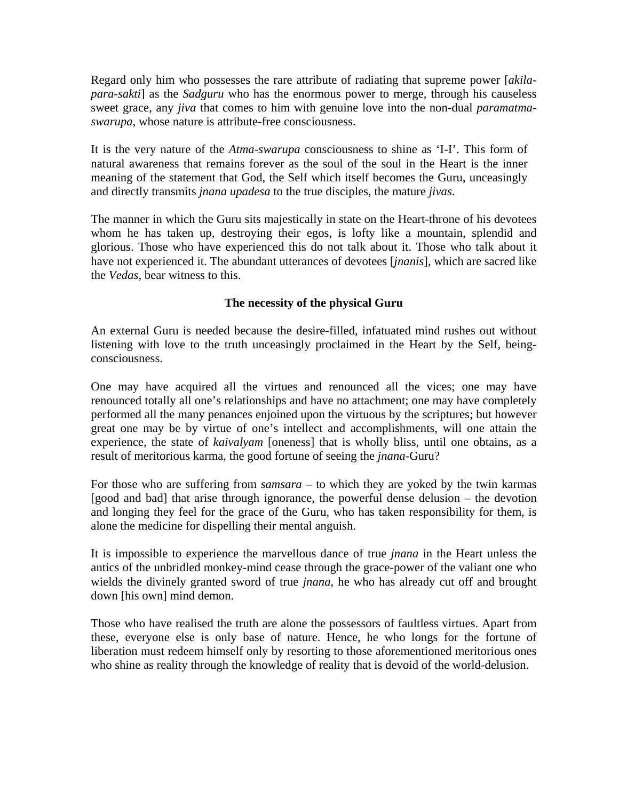Regard only him who possesses the rare attribute of radiating that supreme power [*akilapara-sakti*] as the *Sadguru* who has the enormous power to merge, through his causeless sweet grace, any *jiva* that comes to him with genuine love into the non-dual *paramatmaswarupa*, whose nature is attribute-free consciousness.

It is the very nature of the *Atma-swarupa* consciousness to shine as 'I-I'. This form of natural awareness that remains forever as the soul of the soul in the Heart is the inner meaning of the statement that God, the Self which itself becomes the Guru, unceasingly and directly transmits *jnana upadesa* to the true disciples, the mature *jivas*.

The manner in which the Guru sits majestically in state on the Heart-throne of his devotees whom he has taken up, destroying their egos, is lofty like a mountain, splendid and glorious. Those who have experienced this do not talk about it. Those who talk about it have not experienced it. The abundant utterances of devotees [*jnanis*], which are sacred like the *Vedas*, bear witness to this.

# **The necessity of the physical Guru**

An external Guru is needed because the desire-filled, infatuated mind rushes out without listening with love to the truth unceasingly proclaimed in the Heart by the Self, beingconsciousness.

One may have acquired all the virtues and renounced all the vices; one may have renounced totally all one's relationships and have no attachment; one may have completely performed all the many penances enjoined upon the virtuous by the scriptures; but however great one may be by virtue of one's intellect and accomplishments, will one attain the experience, the state of *kaivalyam* [oneness] that is wholly bliss, until one obtains, as a result of meritorious karma, the good fortune of seeing the *jnana*-Guru?

For those who are suffering from *samsara* – to which they are yoked by the twin karmas [good and bad] that arise through ignorance, the powerful dense delusion – the devotion and longing they feel for the grace of the Guru, who has taken responsibility for them, is alone the medicine for dispelling their mental anguish.

It is impossible to experience the marvellous dance of true *jnana* in the Heart unless the antics of the unbridled monkey-mind cease through the grace-power of the valiant one who wields the divinely granted sword of true *jnana*, he who has already cut off and brought down [his own] mind demon.

Those who have realised the truth are alone the possessors of faultless virtues. Apart from these, everyone else is only base of nature. Hence, he who longs for the fortune of liberation must redeem himself only by resorting to those aforementioned meritorious ones who shine as reality through the knowledge of reality that is devoid of the world-delusion.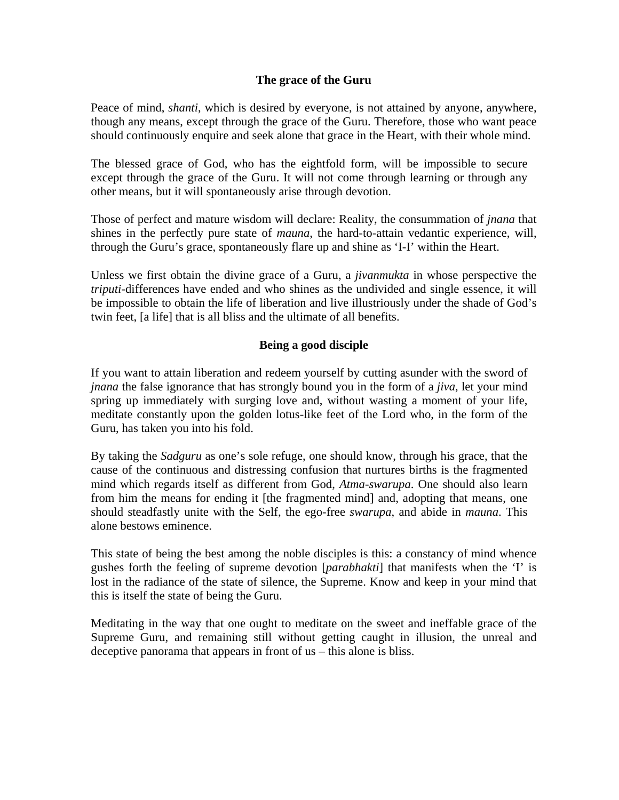## **The grace of the Guru**

Peace of mind, *shanti*, which is desired by everyone, is not attained by anyone, anywhere, though any means, except through the grace of the Guru. Therefore, those who want peace should continuously enquire and seek alone that grace in the Heart, with their whole mind.

The blessed grace of God, who has the eightfold form, will be impossible to secure except through the grace of the Guru. It will not come through learning or through any other means, but it will spontaneously arise through devotion.

Those of perfect and mature wisdom will declare: Reality, the consummation of *jnana* that shines in the perfectly pure state of *mauna*, the hard-to-attain vedantic experience, will, through the Guru's grace, spontaneously flare up and shine as 'I-I' within the Heart.

Unless we first obtain the divine grace of a Guru, a *jivanmukta* in whose perspective the *triputi*-differences have ended and who shines as the undivided and single essence, it will be impossible to obtain the life of liberation and live illustriously under the shade of God's twin feet, [a life] that is all bliss and the ultimate of all benefits.

# **Being a good disciple**

If you want to attain liberation and redeem yourself by cutting asunder with the sword of *jnana* the false ignorance that has strongly bound you in the form of a *jiva*, let your mind spring up immediately with surging love and, without wasting a moment of your life, meditate constantly upon the golden lotus-like feet of the Lord who, in the form of the Guru, has taken you into his fold.

By taking the *Sadguru* as one's sole refuge, one should know, through his grace, that the cause of the continuous and distressing confusion that nurtures births is the fragmented mind which regards itself as different from God, *Atma-swarupa*. One should also learn from him the means for ending it [the fragmented mind] and, adopting that means, one should steadfastly unite with the Self, the ego-free *swarupa*, and abide in *mauna*. This alone bestows eminence.

This state of being the best among the noble disciples is this: a constancy of mind whence gushes forth the feeling of supreme devotion [*parabhakti*] that manifests when the 'I' is lost in the radiance of the state of silence, the Supreme. Know and keep in your mind that this is itself the state of being the Guru.

Meditating in the way that one ought to meditate on the sweet and ineffable grace of the Supreme Guru, and remaining still without getting caught in illusion, the unreal and deceptive panorama that appears in front of us – this alone is bliss.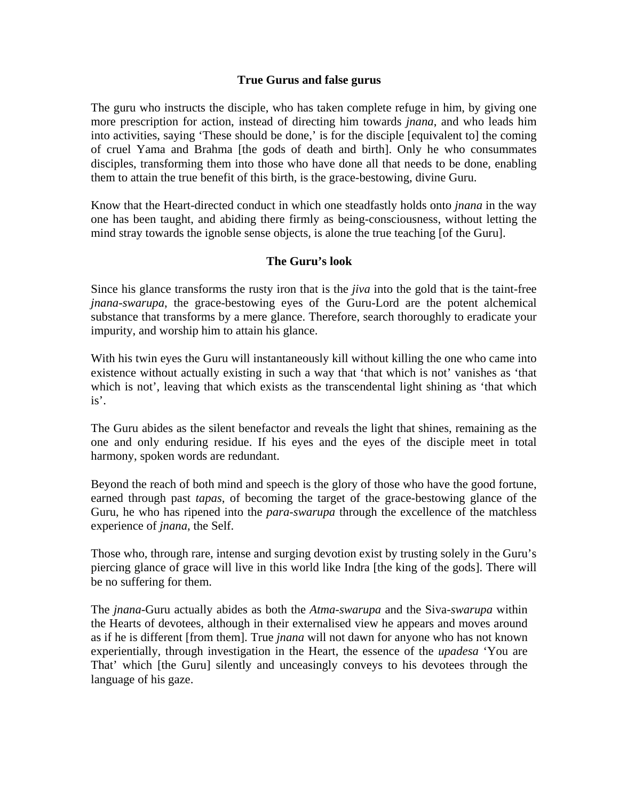### **True Gurus and false gurus**

The guru who instructs the disciple, who has taken complete refuge in him, by giving one more prescription for action, instead of directing him towards *jnana*, and who leads him into activities, saying 'These should be done,' is for the disciple [equivalent to] the coming of cruel Yama and Brahma [the gods of death and birth]. Only he who consummates disciples, transforming them into those who have done all that needs to be done, enabling them to attain the true benefit of this birth, is the grace-bestowing, divine Guru.

Know that the Heart-directed conduct in which one steadfastly holds onto *jnana* in the way one has been taught, and abiding there firmly as being-consciousness, without letting the mind stray towards the ignoble sense objects, is alone the true teaching [of the Guru].

### **The Guru's look**

Since his glance transforms the rusty iron that is the *jiva* into the gold that is the taint-free *jnana-swarupa*, the grace-bestowing eyes of the Guru-Lord are the potent alchemical substance that transforms by a mere glance. Therefore, search thoroughly to eradicate your impurity, and worship him to attain his glance.

With his twin eyes the Guru will instantaneously kill without killing the one who came into existence without actually existing in such a way that 'that which is not' vanishes as 'that which is not', leaving that which exists as the transcendental light shining as 'that which is'.

The Guru abides as the silent benefactor and reveals the light that shines, remaining as the one and only enduring residue. If his eyes and the eyes of the disciple meet in total harmony, spoken words are redundant.

Beyond the reach of both mind and speech is the glory of those who have the good fortune, earned through past *tapas*, of becoming the target of the grace-bestowing glance of the Guru, he who has ripened into the *para-swarupa* through the excellence of the matchless experience of *jnana*, the Self.

Those who, through rare, intense and surging devotion exist by trusting solely in the Guru's piercing glance of grace will live in this world like Indra [the king of the gods]. There will be no suffering for them.

The *jnana*-Guru actually abides as both the *Atma-swarupa* and the Siva-*swarupa* within the Hearts of devotees, although in their externalised view he appears and moves around as if he is different [from them]. True *jnana* will not dawn for anyone who has not known experientially, through investigation in the Heart, the essence of the *upadesa* 'You are That' which [the Guru] silently and unceasingly conveys to his devotees through the language of his gaze.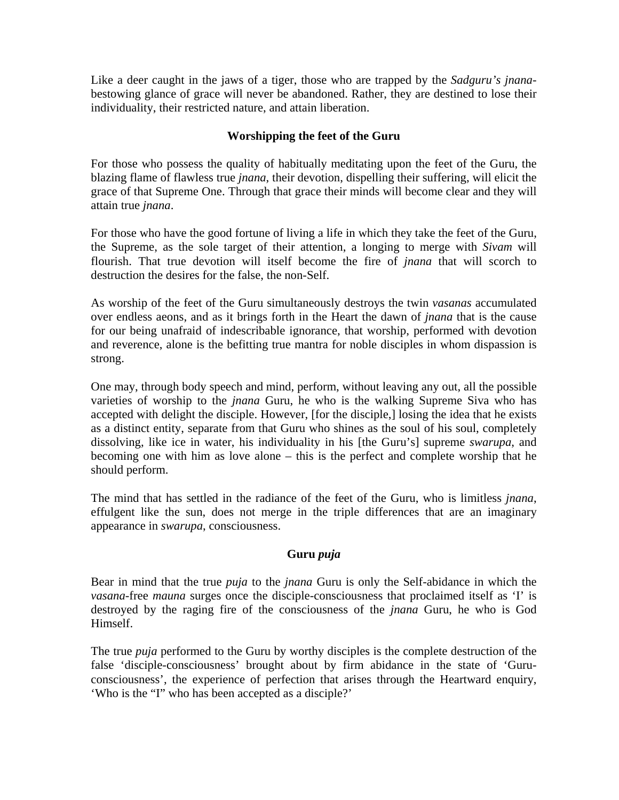Like a deer caught in the jaws of a tiger, those who are trapped by the *Sadguru's jnana*bestowing glance of grace will never be abandoned. Rather, they are destined to lose their individuality, their restricted nature, and attain liberation.

## **Worshipping the feet of the Guru**

For those who possess the quality of habitually meditating upon the feet of the Guru, the blazing flame of flawless true *jnana*, their devotion, dispelling their suffering, will elicit the grace of that Supreme One. Through that grace their minds will become clear and they will attain true *jnana*.

For those who have the good fortune of living a life in which they take the feet of the Guru, the Supreme, as the sole target of their attention, a longing to merge with *Sivam* will flourish. That true devotion will itself become the fire of *jnana* that will scorch to destruction the desires for the false, the non-Self.

As worship of the feet of the Guru simultaneously destroys the twin *vasanas* accumulated over endless aeons, and as it brings forth in the Heart the dawn of *jnana* that is the cause for our being unafraid of indescribable ignorance, that worship, performed with devotion and reverence, alone is the befitting true mantra for noble disciples in whom dispassion is strong.

One may, through body speech and mind, perform, without leaving any out, all the possible varieties of worship to the *jnana* Guru, he who is the walking Supreme Siva who has accepted with delight the disciple. However, [for the disciple,] losing the idea that he exists as a distinct entity, separate from that Guru who shines as the soul of his soul, completely dissolving, like ice in water, his individuality in his [the Guru's] supreme *swarupa*, and becoming one with him as love alone – this is the perfect and complete worship that he should perform.

The mind that has settled in the radiance of the feet of the Guru, who is limitless *jnana*, effulgent like the sun, does not merge in the triple differences that are an imaginary appearance in *swarupa*, consciousness.

### **Guru** *puja*

Bear in mind that the true *puja* to the *jnana* Guru is only the Self-abidance in which the *vasana*-free *mauna* surges once the disciple-consciousness that proclaimed itself as 'I' is destroyed by the raging fire of the consciousness of the *jnana* Guru, he who is God Himself.

The true *puja* performed to the Guru by worthy disciples is the complete destruction of the false 'disciple-consciousness' brought about by firm abidance in the state of 'Guruconsciousness', the experience of perfection that arises through the Heartward enquiry, 'Who is the "I" who has been accepted as a disciple?'